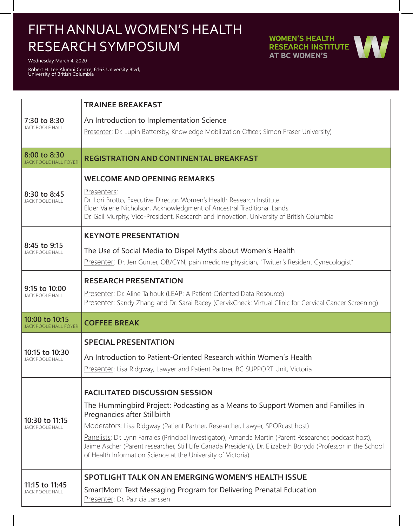## FIFTH ANNUAL WOMEN'S HEALTH RESEARCH SYMPOSIUM

Wednesday March 4, 2020

Robert H. Lee Alumni Centre, 6163 University Blvd, University of British Columbia

**WOMEN'S HEALTH RESEARCH INSTITUTE AT BC WOMEN'S** 



| 7:30 to 8:30<br><b>JACK POOLE HALL</b>       | <b>TRAINEE BREAKFAST</b>                                                                                                                                                                                                                                                                 |
|----------------------------------------------|------------------------------------------------------------------------------------------------------------------------------------------------------------------------------------------------------------------------------------------------------------------------------------------|
|                                              | An Introduction to Implementation Science<br>Presenter: Dr. Lupin Battersby, Knowledge Mobilization Officer, Simon Fraser University)                                                                                                                                                    |
|                                              |                                                                                                                                                                                                                                                                                          |
| 8:00 to 8:30<br><b>JACK POOLE HALL FOYER</b> | <b>REGISTRATION AND CONTINENTAL BREAKFAST</b>                                                                                                                                                                                                                                            |
| 8:30 to 8:45<br><b>JACK POOLE HALL</b>       | <b>WELCOME AND OPENING REMARKS</b>                                                                                                                                                                                                                                                       |
|                                              | Presenters:<br>Dr. Lori Brotto, Executive Director, Women's Health Research Institute<br>Elder Valerie Nicholson, Acknowledgment of Ancestral Traditional Lands<br>Dr. Gail Murphy, Vice-President, Research and Innovation, University of British Columbia                              |
| 8:45 to 9:15<br><b>JACK POOLE HALL</b>       | <b>KEYNOTE PRESENTATION</b>                                                                                                                                                                                                                                                              |
|                                              | The Use of Social Media to Dispel Myths about Women's Health                                                                                                                                                                                                                             |
|                                              | Presenter: Dr. Jen Gunter, OB/GYN, pain medicine physician, "Twitter's Resident Gynecologist"                                                                                                                                                                                            |
| 9:15 to 10:00<br><b>JACK POOLE HALL</b>      | <b>RESEARCH PRESENTATION</b>                                                                                                                                                                                                                                                             |
|                                              | Presenter: Dr. Aline Talhouk (LEAP: A Patient-Oriented Data Resource)<br>Presenter: Sandy Zhang and Dr. Sarai Racey (CervixCheck: Virtual Clinic for Cervical Cancer Screening)                                                                                                          |
| 10:00 to 10:15                               |                                                                                                                                                                                                                                                                                          |
| <b>JACK POOLE HALL FOYER</b>                 | <b>COFFEE BREAK</b>                                                                                                                                                                                                                                                                      |
| 10:15 to 10:30<br><b>JACK POOLE HALL</b>     | <b>SPECIAL PRESENTATION</b>                                                                                                                                                                                                                                                              |
|                                              | An Introduction to Patient-Oriented Research within Women's Health                                                                                                                                                                                                                       |
|                                              | Presenter: Lisa Ridgway, Lawyer and Patient Partner, BC SUPPORT Unit, Victoria                                                                                                                                                                                                           |
| 10:30 to 11:15<br><b>JACK POOLE HALL</b>     | <b>FACILITATED DISCUSSION SESSION</b>                                                                                                                                                                                                                                                    |
|                                              | The Hummingbird Project: Podcasting as a Means to Support Women and Families in<br>Pregnancies after Stillbirth                                                                                                                                                                          |
|                                              | Moderators: Lisa Ridgway (Patient Partner, Researcher, Lawyer, SPORcast host)                                                                                                                                                                                                            |
|                                              | Panelists: Dr. Lynn Farrales (Principal Investigator), Amanda Martin (Parent Researcher, podcast host),<br>Jaime Ascher (Parent researcher, Still Life Canada President), Dr. Elizabeth Borycki (Professor in the School<br>of Health Information Science at the University of Victoria) |
| 11:15 to 11:45<br><b>JACK POOLE HALL</b>     | <b>SPOTLIGHT TALK ON AN EMERGING WOMEN'S HEALTH ISSUE</b>                                                                                                                                                                                                                                |
|                                              | SmartMom: Text Messaging Program for Delivering Prenatal Education<br>Presenter: Dr. Patricia Janssen                                                                                                                                                                                    |